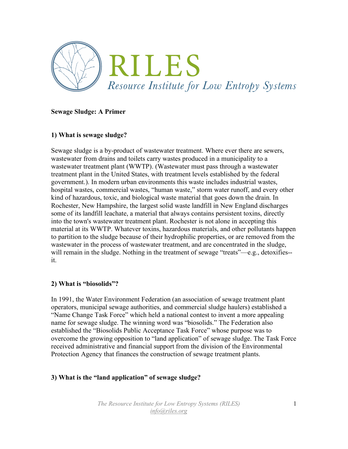

#### **Sewage Sludge: A Primer**

#### **1) What is sewage sludge?**

Sewage sludge is a by-product of wastewater treatment. Where ever there are sewers, wastewater from drains and toilets carry wastes produced in a municipality to a wastewater treatment plant (WWTP). (Wastewater must pass through a wastewater treatment plant in the United States, with treatment levels established by the federal government.). In modern urban environments this waste includes industrial wastes, hospital wastes, commercial wastes, "human waste," storm water runoff, and every other kind of hazardous, toxic, and biological waste material that goes down the drain. In Rochester, New Hampshire, the largest solid waste landfill in New England discharges some of its landfill leachate, a material that always contains persistent toxins, directly into the town's wastewater treatment plant. Rochester is not alone in accepting this material at its WWTP. Whatever toxins, hazardous materials, and other pollutants happen to partition to the sludge because of their hydrophilic properties, or are removed from the wastewater in the process of wastewater treatment, and are concentrated in the sludge, will remain in the sludge. Nothing in the treatment of sewage "treats"—e.g., detoxifies-it.

# **2) What is "biosolids"?**

In 1991, the Water Environment Federation (an association of sewage treatment plant operators, municipal sewage authorities, and commercial sludge haulers) established a "Name Change Task Force" which held a national contest to invent a more appealing name for sewage sludge. The winning word was "biosolids." The Federation also established the "Biosolids Public Acceptance Task Force" whose purpose was to overcome the growing opposition to "land application" of sewage sludge. The Task Force received administrative and financial support from the division of the Environmental Protection Agency that finances the construction of sewage treatment plants.

# **3) What is the "land application" of sewage sludge?**

*The Resource Institute for Low Entropy Systems (RILES) info@riles.org*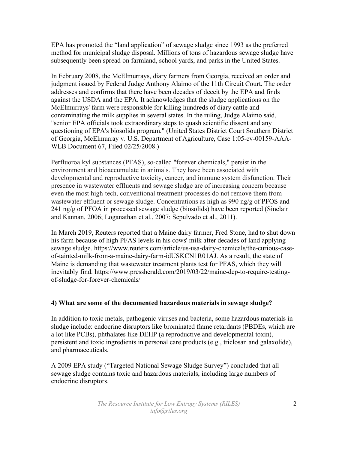EPA has promoted the "land application" of sewage sludge since 1993 as the preferred method for municipal sludge disposal. Millions of tons of hazardous sewage sludge have subsequently been spread on farmland, school yards, and parks in the United States.

In February 2008, the McElmurrays, diary farmers from Georgia, received an order and judgment issued by Federal Judge Anthony Alaimo of the 11th Circuit Court. The order addresses and confirms that there have been decades of deceit by the EPA and finds against the USDA and the EPA. It acknowledges that the sludge applications on the McElmurrays' farm were responsible for killing hundreds of diary cattle and contaminating the milk supplies in several states. In the ruling, Judge Alaimo said, "senior EPA officials took extraordinary steps to quash scientific dissent and any questioning of EPA's biosolids program." (United States District Court Southern District of Georgia, McElmurray v. U.S. Department of Agriculture, Case 1:05-cv-00159-AAA-WLB Document 67, Filed 02/25/2008.)

Perfluoroalkyl substances (PFAS), so-called "forever chemicals," persist in the environment and bioaccumulate in animals. They have been associated with developmental and reproductive toxicity, cancer, and immune system disfunction. Their presence in wastewater effluents and sewage sludge are of increasing concern because even the most high-tech, conventional treatment processes do not remove them from wastewater effluent or sewage sludge. Concentrations as high as 990 ng/g of PFOS and 241 ng/g of PFOA in processed sewage sludge (biosolids) have been reported (Sinclair and Kannan, 2006; Loganathan et al., 2007; Sepulvado et al., 2011).

In March 2019, Reuters reported that a Maine dairy farmer, Fred Stone, had to shut down his farm because of high PFAS levels in his cows' milk after decades of land applying sewage sludge. https://www.reuters.com/article/us-usa-dairy-chemicals/the-curious-caseof-tainted-milk-from-a-maine-dairy-farm-idUSKCN1R01AJ. As a result, the state of Maine is demanding that wastewater treatment plants test for PFAS, which they will inevitably find. https://www.pressherald.com/2019/03/22/maine-dep-to-require-testingof-sludge-for-forever-chemicals/

# **4) What are some of the documented hazardous materials in sewage sludge?**

In addition to toxic metals, pathogenic viruses and bacteria, some hazardous materials in sludge include: endocrine disruptors like brominated flame retardants (PBDEs, which are a lot like PCBs), phthalates like DEHP (a reproductive and developmental toxin), persistent and toxic ingredients in personal care products (e.g., triclosan and galaxolide), and pharmaceuticals.

A 2009 EPA study ("Targeted National Sewage Sludge Survey") concluded that all sewage sludge contains toxic and hazardous materials, including large numbers of endocrine disruptors.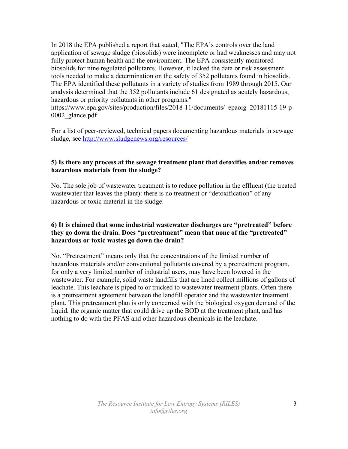In 2018 the EPA published a report that stated, "The EPA's controls over the land application of sewage sludge (biosolids) were incomplete or had weaknesses and may not fully protect human health and the environment. The EPA consistently monitored biosolids for nine regulated pollutants. However, it lacked the data or risk assessment tools needed to make a determination on the safety of 352 pollutants found in biosolids. The EPA identified these pollutants in a variety of studies from 1989 through 2015. Our analysis determined that the 352 pollutants include 61 designated as acutely hazardous, hazardous or priority pollutants in other programs."

https://www.epa.gov/sites/production/files/2018-11/documents/\_epaoig\_20181115-19-p-0002\_glance.pdf

For a list of peer-reviewed, technical papers documenting hazardous materials in sewage sludge, see http://www.sludgenews.org/resources/

#### **5) Is there any process at the sewage treatment plant that detoxifies and/or removes hazardous materials from the sludge?**

No. The sole job of wastewater treatment is to reduce pollution in the effluent (the treated wastewater that leaves the plant): there is no treatment or "detoxification" of any hazardous or toxic material in the sludge.

# **6) It is claimed that some industrial wastewater discharges are "pretreated" before they go down the drain. Does "pretreatment" mean that none of the "pretreated" hazardous or toxic wastes go down the drain?**

No. "Pretreatment" means only that the concentrations of the limited number of hazardous materials and/or conventional pollutants covered by a pretreatment program, for only a very limited number of industrial users, may have been lowered in the wastewater. For example, solid waste landfills that are lined collect millions of gallons of leachate. This leachate is piped to or trucked to wastewater treatment plants. Often there is a pretreatment agreement between the landfill operator and the wastewater treatment plant. This pretreatment plan is only concerned with the biological oxygen demand of the liquid, the organic matter that could drive up the BOD at the treatment plant, and has nothing to do with the PFAS and other hazardous chemicals in the leachate.